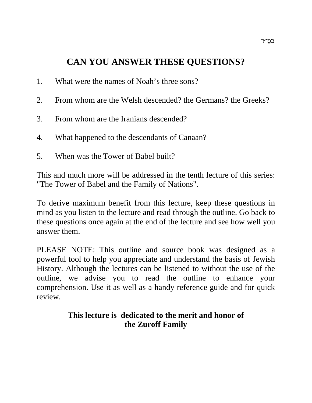# **CAN YOU ANSWER THESE QUESTIONS?**

- 1. What were the names of Noah's three sons?
- 2. From whom are the Welsh descended? the Germans? the Greeks?
- 3. From whom are the Iranians descended?
- 4. What happened to the descendants of Canaan?
- 5. When was the Tower of Babel built?

This and much more will be addressed in the tenth lecture of this series: "The Tower of Babel and the Family of Nations".

To derive maximum benefit from this lecture, keep these questions in mind as you listen to the lecture and read through the outline. Go back to these questions once again at the end of the lecture and see how well you answer them.

PLEASE NOTE: This outline and source book was designed as a powerful tool to help you appreciate and understand the basis of Jewish History. Although the lectures can be listened to without the use of the outline, we advise you to read the outline to enhance your comprehension. Use it as well as a handy reference guide and for quick review.

# **This lecture is dedicated to the merit and honor of the Zuroff Family**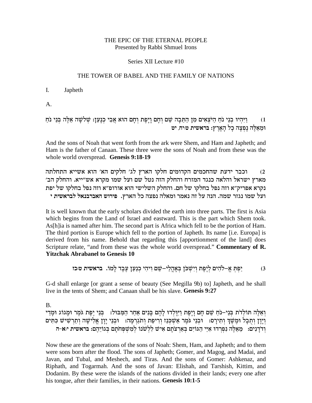### THE EPIC OF THE ETERNAL PEOPLE Presented by Rabbi Shmuel Irons

### Series XII Lecture #10

### THE TOWER OF BABEL AND THE FAMILY OF NATIONS

#### $\mathbf{I}$ . Japheth

 $A<sub>1</sub>$ 

1) - וַיִּהְיוּ בְנֵי נֹחַ הַיֹּצְאִים מִן הַתֵּבָה שֵׁם וְחָם וָיָפֶת וְחָם הוּא אֲבִי כְנָעַן: שְׁלֹשָׁה אֵלֶה בְּנֵי נֹחַ<br>וּמֵאֵלֶּה נְפְצָה כָל הָאָרֶץ: בראשית טּיִח, יט

And the sons of Noah that went forth from the ark were Shem, and Ham and Japheth; and Ham is the father of Canaan. These three were the sons of Noah and from these was the whole world overspread. Genesis 9:18-19

וכבר ידעת שהחכמים הקדומים חלקו הארץ לג׳ חלקים הא׳ הוא אשייא התחלתה  $(2)$ מארץ ישראל והלאה כנגד המזרח והחלק הזה נטל שם ועל שמו מקרא אש״ייא. והחלק הב׳ נקרא אפריק״א וזה נפל בחלקו של חם. והחלק השלישי הוא אורופ״א וזה נפל בחלקו של יפת ועל שמו נגזר שמה. הנה על זה נאמר ומאלה נפצה כל הארץ. פירוש האברבנאל לבראשית י

It is well known that the early scholars divided the earth into three parts. The first is Asia which begins from the Land of Israel and eastward. This is the part which Shem took. As[h]ia is named after him. The second part is Africa which fell to be the portion of Ham. The third portion is Europe which fell to the portion of Japheth. Its name [i.e. Europa] is derived from his name. Behold that regarding this [apportionment of the land] does Scripture relate, "and from these was the whole world overspread." Commentary of R. **Yitzchak Abrabanel to Genesis 10** 

G-d shall enlarge [or grant a sense of beauty (See Megilla 9b) to] Japheth, and he shall live in the tents of Shem; and Canaan shall be his slave. Genesis 9:27

 $B<sub>1</sub>$ 

וְאֵלֵה תּוֹלְדֹת בִּנֵי–נֹחַ שֵׁם חָם וָיָפֵת וַיִּוָּלְדוּ לָהֶם בָּנִים אַחַר הַמַּבּוּל: בְּנֵי יֶפֶת גֹמֶר וּמְגוֹג וּמְדַי וְיַוַן וְתִבְל וּמֵשֶׁךְ וְתִירַס: וּבְנֵי גֹּמֵר אַשִׁכְּנַז וְרִיפַת וְתגַרְמָה: וּבְנֵי יַוַן אֱלִישָׁה וְתַרְשִׁישׁ כְּתִּים וְדֹדַנִים: מֵאֵלֶה נִפְרִדוּ אִיֵּי הַגּוֹיִם בְּאַרְצֹתַם אִישׁ לְלְשׁנוֹ לְמִשְׁפְחֹתַם בְּגוֹיָהֶם: בראשית יא-ה

Now these are the generations of the sons of Noah: Shem, Ham, and Japheth; and to them were sons born after the flood. The sons of Japheth; Gomer, and Magog, and Madai, and Javan, and Tubal, and Meshech, and Tiras. And the sons of Gomer: Ashkenaz, and Riphath, and Togarmah. And the sons of Javan: Elishah, and Tarshish, Kittim, and Dodanim. By these were the islands of the nations divided in their lands; every one after his tongue, after their families, in their nations. Genesis 10:1-5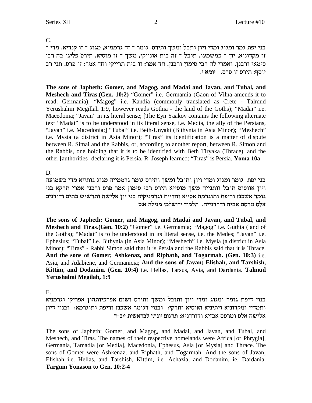C.

בני יפת גמר ומגוג ומדי ויון ותבל ומשך ותירס. גומר ־ זה גרממיא, מגוג ־ זו קנדיא, מדי ־ זו מקדוניא, יון ־ כמשמעו, תובל ־ זה בית אונייקי, משך ־ זו מוסיא, תירס פליגי בה רבי סימאי ורבנן, ואמרי לה רבי סימון ורבנן. חד אמר: זו בית תרייקי וחד אמר: זו פרס. תני רב י**וסף: תירס זו פרס.** יומא *י*.

**The sons of Japheth: Gomer, and Magog, and Madai and Javan, and Tubal, and Meshech and Tiras.**(Gen. 10:2) "Gomer" i.e. Germamia (Gaon of Vilna amends it to read: Germania); "Magog" i.e. Kandia (commonly translated as Crete - Talmud Yerushalmi Megillah 1:9, however reads Gothia - the land of the Goths); "Madai" i.e. Macedonia; "Javan" in its literal sense; [The Eyn Yaakov contains the following alternate text "Madai" is to be understood in its literal sense, i.e. Media, the ally of the Persians, "Javan" i.e. Macedonia;] "Tubal" i.e. Beth-Unyaki (Bithynia in Asia Minor); "Meshech" i.e. Mysia (a district in Asia Minor); "Tiras" its identification is a matter of dispute between R. Simai and the Rabbis, or, according to another report, between R. Simon and the Rabbis, one holding that it is to be identified with Beth Tiryaka (Thrace), and the other [authorities] declaring it is Persia. R. Joseph learned: "Tiras" is Persia. **Yoma 10a**

D.

בני יפת גומר ומגוג ומדי ויון ותובל ומשך ותירס גומר גרממייה מגוג גותייא מדי כשמועה ויון אווסוס תובל וותנייה משך מוסייא תירס רבי סימון אמר פרס ורבנן אמרי תרקא בני גומר אשכנז וריפת ותוגרמה אסייא והדיית וגרמניקיה בני יון אלישה ותרשיש כתים ודודנים **h:` dlibn inlyexi cenlz** .diipcxce dia` mqxh ql`

**The sons of Japheth: Gomer, and Magog, and Madai and Javan, and Tubal, and Meshech and Tiras.(Gen. 10:2)** "Gomer" i.e. Germamia; "Magog" i.e. Guthia (land of the Goths); "Madai" is to be understood in its literal sense, i.e. the Medes; "Javan" i.e. Ephesius; "Tubal" i.e. Bithynia (in Asia Minor); "Meshech" i.e. Mysia (a district in Asia Minor); "Tiras" - Rabbi Simon said that it is Persia and the Rabbis said that it is Thrace. **And the sons of Gomer; Ashkenaz, and Riphath, and Togarmah. (Gen. 10:3)** i.e. Asia, and Adabiene, and Germanicia; **And the sons of Javan; Elishah, and Tarshish, Kittim, and Dodanim. (Gen. 10:4)** i.e. Hellas, Tarsus, Avia, and Dardania. **Talmud Yerushalmi Megilah, 1:9**

E.

בנוי דיפת גומר ומגוג ומדי ויון ותובל ומשך ותירס ושום אפרכיותהון אפריקי וגרמניא ותמדיי ומקדוניא ויתיניא ואוסיא ותרקי: ובנוי דגומר אשכנז וריפת ותוגרמא: ובנוי דיון **xלישה אלס וטרסס אכזיא ודורדניא: תרגום יונתן לבראשית י:ב-ד** 

The sons of Japheth; Gomer, and Magog, and Madai, and Javan, and Tubal, and Meshech, and Tiras. The names of their respective homelands were Africa [or Phrygia], Germania, Tamadia [or Media], Macedonia, Ephesus, Asia [or Mysia] and Thrace. The sons of Gomer were Ashkenaz, and Riphath, and Togarmah. And the sons of Javan; Elishah i.e. Hellas, and Tarshish, Kittim, i.e. Achazia, and Dodanim, ie. Dardania. **Targum Yonason to Gen. 10:2-4**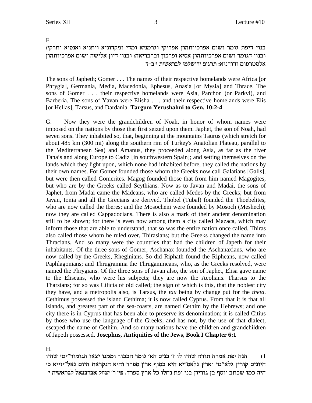F.

בנוי דיפת גומר ושום אפרכיותהון אפריקי וגרמניא ומדי ומקדוניא ויתניא ואנסיא ותרקי: ובנוי דגומר ושום אפרכיותהון אסיא ופרכון וברבריאה: ובנוי דיון אלישה ושום אפרכיותהון **xלסטרסום ודודניא: תרגום ירושלמי לבראשית י:ב-ד** 

The sons of Japheth; Gomer . . . The names of their respective homelands were Africa [or Phrygia], Germania, Media, Macedonia, Ephesus, Anasia [or Mysia] and Thrace. The sons of Gomer . . . their respective homelands were Asia, Parchon (or Parkvi), and Barberia. The sons of Yavan were Elisha . . . and their respective homelands were Elis [or Hellas], Tarsus, and Dardania. **Targum Yerushalmi to Gen. 10:2-4**

G. Now they were the grandchildren of Noah, in honor of whom names were imposed on the nations by those that first seized upon them. Japhet, the son of Noah, had seven sons. They inhabited so, that, beginning at the mountains Taurus (which stretch for about 485 km (300 mi) along the southern rim of Turkey's Anatolian Plateau, parallel to the Mediterranean Sea) and Amanus, they proceeded along Asia, as far as the river Tanais and along Europe to Cadiz [in southwestern Spain]; and setting themselves on the lands which they light upon, which none had inhabited before, they called the nations by their own names. For Gomer founded those whom the Greeks now call Galatians [Galls], but were then called Gomerites. Magog founded those that from him named Magogites, but who are by the Greeks called Scythians. Now as to Javan and Madai, the sons of Japhet, from Madai came the Madeans, who are called Medes by the Greeks; but from Javan, Ionia and all the Grecians are derived. Thobel (Tubal) founded the Thoebelites, who are now called the Iberes; and the Mosocheni were founded by Mosoch (Meshech); now they are called Cappadocians. There is also a mark of their ancient denomination still to be shown; for there is even now among them a city called Mazaca, which may inform those that are able to understand, that so was the entire nation once called. Thiras also called those whom he ruled over, Thirasians; but the Greeks changed the name into Thracians. And so many were the countries that had the children of Japeth for their inhabitants. Of the three sons of Gomer, Aschanax founded the Aschanaxians, who are now called by the Greeks, Rheginians. So did Riphath found the Ripheans, now called Paphlagonians; and Thrugramma the Thrugammeans, who, as the Greeks resolved, were named the Phrygians. Of the three sons of Javan also, the son of Japhet, Elisa gave name to the Eliseans, who were his subjects; they are now the Aeolians. Tharsus to the Tharsians; for so was Cilicia of old called; the sign of which is this, that the noblest city they have, and a metropolis also, is Tarsus, the *tau* being by change put for the *theta*. Cethimus possessed the island Cethima; it is now called Cyprus. From that it is that all islands, and greatest part of the sea-coasts, are named Cethim by the Hebrews; and one city there is in Cyprus that has been able to preserve its denomination; it is called Citius by those who use the language of the Greeks, and has not, by the use of that dialect, escaped the name of Cethim. And so many nations have the children and grandchildren of Japeth possessed. **Josephus, Antiquities of the Jews, Book I Chapter 6:1**

H.

הנה יפת אמרה תורה שהיו לו ז׳ בנים הא׳ גומר הבכור וממנו יצאו הגומור״יטי שהיו  $\hspace{0.1em}$ היונים קורין גלא"טי וארץ גלאס"יא היא בסוף ארץ ספרד והיא הנקראת היום גאל"יזייא כי **i ziy`xal l`paxa` wgvi 'x 'it** .cxtq ux` lk elgp zti ipa oeixeb oa sqei azky enk did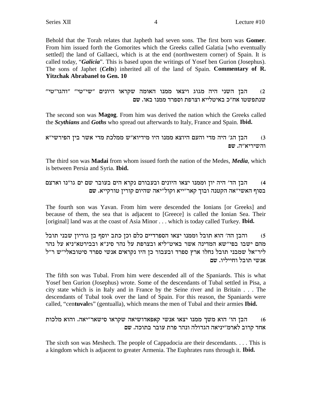Behold that the Torah relates that Japheth had seven sons. The first born was Gomer. From him issued forth the Gomorites which the Greeks called Galatia [who eventually settled] the land of Gallaeci, which is at the end (northwestern corner) of Spain. It is called today, "Galicia". This is based upon the writings of Yosef ben Gurion (Josephus). The sons of Japhet (Celts) inherited all of the land of Spain. Commentary of R. **Yitzchak Abrabanel to Gen. 10** 

הבן השני היה מגוג ויצאו ממנו האומה שקראו היונים ״שי״טי״ ״והגו״טי״  $(2)$ שנתפשטו אח״כ באיטלייא וצרפת וספרד ממנו באו. שם

The second son was Magog. From him was derived the nation which the Greeks called the *Scythians* and *Goths* who spread out afterwards to Italy, France and Spain. Ibid.

הבן הג׳ היה מדי והעם היוצא ממנו היו מידיוא״ש ממלכת מדי אשר בין הפירשי״א  $(3)$ והשיריא"ה. שפ

The third son was **Madai** from whom issued forth the nation of the Medes, *Media*, which is between Persia and Syria. Ibid.

הבן הד׳ היה יון וממנו יצאו היונים ובעבורם נקרא הים בעובר שם ים גו״נו וארצם  $(4)$ בסוף האשי"אה הקטנה ובוך קאר"ייא וקול"יאה שהיום קורין טורקייא. שם

The fourth son was Yavan. From him were descended the Ionians [or Greeks] and because of them, the sea that is adjacent to [Greece] is called the Ionian Sea. Their [original] land was at the coast of Asia Minor . . . which is today called Turkey. **Ibid.** 

והבן הה׳ הוא תובל וממנו יצאו הספרדיים כלם וכן כתב יוסף בן גוריון שבני תובל  $(5)$ מהם ישבו בפי"שא המדינה אשר באיט"ליא ובצרפת על נהר סינ"א ובבירטא"ניא על נהר ליר"אל שמבני תובל נחלו ארץ ספרד ובעבור כן היו נקראים אנשי ספרד סיטובאלי"ש ר"ל אנשי תובל וחייליו. שם

The fifth son was Tubal. From him were descended all of the Spaniards. This is what Yosef ben Gurion (Josephus) wrote. Some of the descendants of Tubal settled in Pisa, a city state which is in Italy and in France by the Seine river and in Britain . . . The descendants of Tubal took over the land of Spain. For this reason, the Spaniards were called, "centuvales" (gentualla), which means the men of Tubal and their armies Ibid.

הבן הו' הוא משך ממנו יצאו אנשי קאפאדושיאה שקראו סישאר"יאה. והוא מלכות  $(6)$ אחד קרוב לארמ״יניאה הגדולה ונהר פרת עובר בתוכה. שם

The sixth son was Meshech. The people of Cappadocia are their descendants.... This is a kingdom which is adjacent to greater Armenia. The Euphrates runs through it. **Ibid.**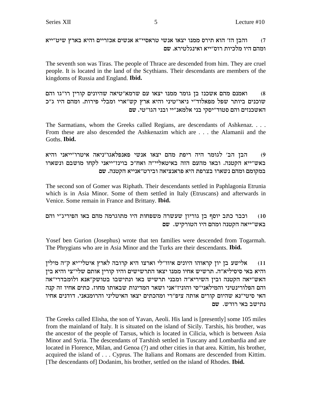והבן הז' הוא תירס ממנו יצאו אנשי טראסיי"א אנשים אכזריים והיא בארץ שיט"ייא  $(7)$ ומהם היו מלכיות רוס״ייא ואינגלטירא. שם

The seventh son was Tiras. The people of Thrace are descended from him. They are cruel people. It is located in the land of the Scythians. Their descendants are members of the kingdoms of Russia and England. **Ibid.** 

ואמנם מהם אשכנז בן גומר ממנו יצאו עם שרמא"טיאה שהיונים קורין רו"גו והם  $(8)$ שוכנים ביותר שפל מפאלוד"י ניאו"טיני והיא ארץ קש"ארי ומבלי פירות. ומהם היו ג"כ האשכנזים והם סטוד״יסקי בני אלמאנ״יי ובני הגו״טי. שם

The Sarmatians, whom the Greeks called Regians, are descendants of Ashkenaz. . . . From these are also descended the Ashkenazim which are . . . the Alamanii and the Goths. Ibid.

הבן הב' לגומר היה ריפת מהם יצאו אנשי פאנפלאגו"ניאה איטרו"ייאני והיא  $(9)$ באש״ייא הקטנה. ובאו מהעם הזה באיטאליי״ה ואח״כ בוינז״ייאני לקחו מושבם ונשארו במקומם ומהם נשארו בצרפת היא פראנציאה ובירט״אנייא הקטנה. שם

The second son of Gomer was Riphath. Their descendants settled in Paphlagonia Etrunia which is in Asia Minor. Some of them settled in Italy (Etruscans) and afterwards in Venice. Some remain in France and Brittany. Ibid.

וכבר כתב יוסף בז גוריוז שעשרה משפחות היו מתוגרמה מהם באו הפיריג"י והם  $(10)$ באש"ייאה הקטנה ומהם היו הטורקיש. שם

Yosef ben Gurion (Josephus) wrote that ten families were descended from Togarmah. The Phrygians who are in Asia Minor and the Turks are their descendants. Ibid.

אלישע בן יון קראוהו היונים איוו"לי וארצו היא קרובה לארץ איטלי"יא ק"ה מילין  $(11)$ והיא באי סיסיליא״ה. תרשיש אחיו ממנו יצאו התרשישים והיו קורין אותם שלי״צי והיא בין האש"יאה הקטנה ובין השיריא"ה ומבני תרשיש באו ונתישבו בטושק"אנא ולומבדרי"אה והם הפלורינטיני והמילאני"סי והוניז"אני ושאר המדינות שבאותו מחוז. כתים אחיו זה קנה האי סיטי״נא שהיום קורים אותה ציפ״רי ומהכתים יצאו האיטליני והרומנאני. דודנים אחיו נתישב באי רודש. שם

The Greeks called Elisha, the son of Yavan, Aeoli. His land is [presently] some 105 miles from the mainland of Italy. It is situated on the island of Sicily. Tarshis, his brother, was the ancestor of the people of Tarsus, which is located in Cilicia, which is between Asia Minor and Syria. The descendants of Tarshish settled in Tuscany and Lombardia and are located in Florence, Milan, and Genoa (?) and other cities in that area. Kittim, his brother, acquired the island of . . . Cyprus. The Italians and Romans are descended from Kittim. [The descendants of] Dodanim, his brother, settled on the island of Rhodes. **Ibid.**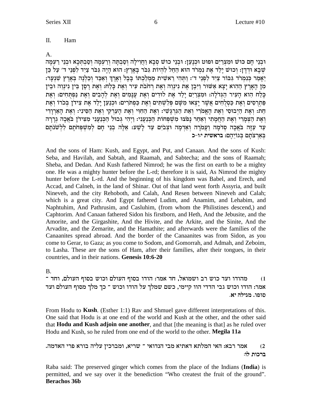#### Π. Ham

## A.

וּבְנֵי חַם כּוּשׁ וּמִצְרַיִם וּפוּט וּכְנַעֲן: וּבְנֵי כוּשׁ סָבָא וַחֲוִילַה וִסֲבִתָּה וְרַעְמַה וִסְבִתְּכָא וּבְנֵי רַעְמַה שבא ודדן: וכוש ילד את נמרד הוא החל להיות גבר בארץ: הוא היה גבר ציד לפני ד׳ על כן יַאֲמַר כִּנְמִרֹד גִּבּוֹר צַיִד לְפָנֵי ד': וַתְּהִי רֵאשִׁית מַמְלַכְתּוֹ בַּבֵל וָאֶרְךָ וְאַכָּד וְכָלְנָה בְּאֶרֶץ שָׁנָעֲר: מן הארץ ההוא יצא אַשׁוּר וַיִּבֵן אֶת נִינוֵה וְאֶת רְחֹבֹת עִיר וְאֶת כַּלָח: וְאֶת רָסֶן בֵּין נִינוֵה וּבֵין כַּלַח הוא העיר הגדלה: ומִצְרַיִם יַלַד אֶת לוּדִים וָאֶת עֲנַמִים וְאֶת לְהָבִים וְאֶת נַפִּתְּחִים: וְאֶת פְּתִרְסִים וְאֶת כַּסְלְחִים אֲשֶׁר יַצְאוּ מִשָּׁם פִּלְשְׁתִּים וְאֶת כַּפְתִּרִים: וּכְנַעֲן יַלַד אֶת צִידן בְּכֹרוֹ וְאֶת חֵת: וְאֶת הַיָּבוּסִי וְאֶת הַאֲמֹרִי וְאֶת הַגְּרְגַּשִׁי: וְאֶת הַחִּוּי וְאֶת הַעֲרָקִי וְאֶת הַאֲרוּדִי ו ואת הצמרי ואת החמתי ואחר נפצו משפחות הכנעני: ויהי גבול הכנעני מצידן באכה גררה עַר עַזָה בֹּאֲכָה סִדמָה וַעֲמֹרָה וְאַדְמָה וּצְבֹיִם עַד לָשָׁע: אֵלֶה בְנֵי חָם לְמְשִׁפְחֹתָם לְלְשֹׁנֹתָם באֲרצתם בְּגוֹיהם: בראשית יורכ

And the sons of Ham: Kush, and Egypt, and Put, and Canaan. And the sons of Kush: Seba, and Havilah, and Sabtah, and Raamah, and Sabtecha; and the sons of Raamah; Sheba, and Dedan. And Kush fathered Nimrod; he was the first on earth to be a mighty one. He was a mighty hunter before the L-rd; therefore it is said, As Nimrod the mighty hunter before the L-rd. And the beginning of his kingdom was Babel, and Erech, and Accad, and Calneh, in the land of Shinar. Out of that land went forth Assyria, and built Nineveh, and the city Rehoboth, and Calah, And Resen between Nineveh and Calah; which is a great city. And Egypt fathered Ludim, and Anamim, and Lehabim, and Naphtuhim, And Pathrusim, and Casluhim, (from whom the Philistines descend,) and Caphtorim. And Canaan fathered Sidon his firstborn, and Heth, And the Jebusite, and the Amorite, and the Girgashite, And the Hivite, and the Arkite, and the Sinite, And the Arvadite, and the Zemarite, and the Hamathite; and afterwards were the families of the Canaanites spread abroad. And the border of the Canaanites was from Sidon, as you come to Gerar, to Gaza; as you come to Sodom, and Gomorrah, and Admah, and Zeboim, to Lasha. These are the sons of Ham, after their families, after their tongues, in their countries, and in their nations. Genesis 10:6-20

**B.** 

מהודו ועד כוש רב ושמואל, חד אמר: הודו בסוף העולם וכוש בסוף העולם, וחד ־  $(1)$ אמר: הודו וכוש גבי הדדי הוו קיימי, כשם שמלך על הודו וכוש ־ כך מלך מסוף העולם ועד סופו. מגילה יא.

From Hodu to Kush. (Esther 1:1) Rav and Shmuel gave different interpretations of this. One said that Hodu is at one end of the world and Kush at the other, and the other said that Hodu and Kush adjoin one another, and that [the meaning is that] as he ruled over Hodu and Kush, so he ruled from one end of the world to the other. Megila 11a

אמר רבא: האי המלתא דאתיא מבי הנדואי ־ שריא, ומברכין עליה בורא פרי האדמה.  $(2)$ ברכות לו:

Raba said: The preserved ginger which comes from the place of the Indians (India) is permitted, and we say over it the benediction "Who createst the fruit of the ground". **Berachos 36b**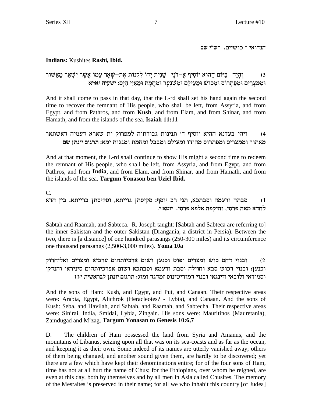הנדואי ־ כושיים. רש״י שם

### Indians: Kushites Rashi, Ibid.

### וְהַיָה | בַּיּוֹם הַהוּא יוֹסִיף אֲ–דֹנַי | שֵׁנִית יַדוֹ לִקְנוֹת אֵת–שָׁאֲר עַמּוֹ אֲשֶׁר יְשָׁאֵר מֵאֲשׁוּר  $(3)$ וּמִמְצְרַיִם וּמִפַּתְרוֹס וּמְכּוּשׁ וּמֵעֵילָם וּמִשׁׁנְעָר וּמֵחֲמָת וּמֵאִיֵּי הַיָּם: ישעיה יאוּיא

And it shall come to pass in that day, that the L-rd shall set his hand again the second time to recover the remnant of His people, who shall be left, from Assyria, and from Egypt, and from Pathros, and from Kush, and from Elam, and from Shinar, and from Hamath, and from the islands of the sea. Isaiah 11:11

### ויהי בעדנא ההיא יוסיף ד׳ תנינות גבורתיה למפרוק ית שארא דעמיה דאשתאר  $(4)$ מאתור וממצרים ומפתרוס מהודו ומעילם ומבבל ומחמת ומגגות ימא: תרגום יונתן שם

And at that moment, the L-rd shall continue to show His might a second time to redeem the remnant of His people, who shall be left, from Assyria, and from Egypt, and from Pathros, and from **India**, and from Elam, and from Shinar, and from Hamath, and from the islands of the sea. Targum Yonason ben Uziel Ibid.

 $C_{\cdot}$ 

סבתה ורעמה וסבתכא, תני רב יוסף: סקיסתן גוייתא, וסקיסתן ברייתא. בין חדא  $(1)$ לחדא מאה פרסי, והיקפה אלפא פרסי. יומא י.

Sabtah and Raamah, and Sabteca. R. Joseph taught: [Sabtah and Sabteca are referring to] the inner Sakistan and the outer Sakistan (Drangania, a district in Persia). Between the two, there is [a distance] of one hundred parasangs (250-300 miles) and its circumference one thousand parasangs (2,500-3,000 miles). Yoma 10a

ובנוי דחם כוש ומצרים ופוט וכנען ושום ארכיותהום ערביא ומצרים ואליחרוק  $(2)$ וכנען: ובנוי דכוש סבא וחוילה וסבת ורעמא וסבתכא ושום אפרכיותהום סיניראי והנדקי וסמידאי ולובאי וזינגאי ובנוי דמוריטינוס זמדגד ומזג: תרגום יונתן לבראשית יון,ז

And the sons of Ham: Kush, and Egypt, and Put, and Canaan. Their respective areas were: Arabia, Egypt, Alichrok (Heracleotes? - Lybia), and Canaan. And the sons of Kush: Seba, and Havilah, and Sabtah, and Raamah, and Sabtecha. Their respective areas were: Sinirai, India, Smidai, Lybia, Zingain. His sons were: Mauritinos (Mauretania), Zamdugad and M'zag. Targum Yonasan to Genesis 10:6,7

D. The children of Ham possessed the land from Syria and Amanus, and the mountains of Libanus, seizing upon all that was on its sea-coasts and as far as the ocean, and keeping it as their own. Some indeed of its names are utterly vanished away; others of them being changed, and another sound given them, are hardly to be discovered; yet there are a few which have kept their denominations entire; for of the four sons of Ham, time has not at all hurt the name of Chus; for the Ethiopians, over whom he reigned, are even at this day, both by themselves and by all men in Asia called Chusites. The memory of the Mesraites is preserved in their name; for all we who inhabit this country [of Judea]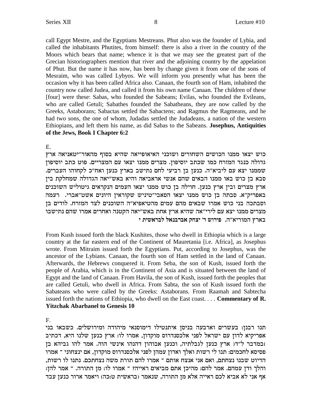call Egypt Mestre, and the Egyptians Mestreans. Phut also was the founder of Lybia, and called the inhabitants Phutites, from himself: there is also a river in the country of the Moors which bears that name; whence it is that we may see the greatest part of the Grecian historiographers mention that river and the adjoining country by the appelation of Phut. But the name it has now, has been by change given it from one of the sons of Mesraim, who was called Lybyos. We will inform you presently what has been the occasion why it has been called Africa also. Canaan, the fourth son of Ham, inhabited the country now called Judea, and called it from his own name Canaan. The children of these [four] were these: Sabas, who founded the Sabeans; Evilas, who founded the Evileans, who are called Getuli; Sabathes founded the Sabatheans, they are now called by the Greeks, Astaborans; Sabactas settled the Sabactens; and Ragmus the Ragmeans, and he had two sons, the one of whom, Judadas settled the Judadeans, a nation of the western Ethiopians, and left them his name, as did Sabas to the Sabeans. Josephus, Antiquities of the Jews, Book I Chapter 6:2

 $E_{\rm{L}}$ 

כוש יצאו ממנו הכושים השחורים ושוכני האיאופייאה שהיא בסוף מהאור״יטאניאה ארץ גדולה כנגד המזרח כמו שכתב יוסיפון. מצרים ממנו יצאו עם המצריים. פוט כתב יוסיפון שממנו יצא עם ליביא"ה. כנען בן רביעי לחם נתישב בארץ כנען ואח"כ לקחוהו העברים. סבא בן כוש באו ממנו הבאים שהם אנשי אראביאה והיא באש״יאה הגדולה שמחלקת בין ארץ מצרים ובין ארץ כנען. חוילה בן כוש ממנו יצאו העמים הנקראים גיטוליש השוכנים באפריק"א. סבתה בן כוש ממנו יצאו הסאבי"טיניש שקוראין היונים אשט"אברי. רעמה וסבתכה בני כוש אמרו שבאים מהם עמים מהטיאפיא"ה השוכנים לצד המזרח. לודים בן מצרים ממנו יצא עם לירי״אה שהיא ארץ אחת באש״יאה הקטנה ואחרים אמרו שהם נתישבו בארץ המוריא"ה. פירוש ר' יצחק אברבנאל לבראשית י

From Kush issued forth the black Kushites, those who dwell in Ethiopia which is a large country at the far eastern end of the Continent of Mauretania [i.e. Africa], as Josephus wrote. From Mitraim issued forth the Egyptians. Put, according to Josephus, was the ancestor of the Lybians. Canaan, the fourth son of Ham settled in the land of Canaan. Afterwards, the Hebrews conquered it. From Seba, the son of Kush, issued forth the people of Arabia, which is in the Continent of Asia and is situated between the land of Egypt and the land of Canaan. From Havila, the son of Kush, issued forth the peoples that are called Getuli, who dwell in Africa. From Sabta, the son of Kush issued forth the Sabateans who were called by the Greeks: Astaborans. From Raamah and Sabtecha issued forth the nations of Ethiopia, who dwell on the East coast.... Commentary of  $\mathbb{R}$ . **Yitzchak Abarbanel to Genesis 10** 

 $F_{\perp}$ 

תנו רבנן: בעשרים וארבעה בניסן איתנטילו דימוסנאי מיהודה ומירושלים. כשבאו בני אפריקיא לדון עם ישראל לפני אלכסנדרוס מוקדון, אמרו לו: ארץ כנען שלנו היא, דכתיב )במדבר ל"דו ארץ כנען לגבלתיה, וכנען אבוהון דהנהו אינשי הוה. אמר להו גביהא בן פסיסא לחכמים: תנו לי רשות ואלך ואדון עמהן לפני אלכסנדרוס מוקדון, אם ינצחוני ־ אמרו הדיוט שבנו נצחתם, ואם אני אנצח אותם ־ אמרו להם תורת משה נצחתכם. נתנו לו רשות, והלך ודן עמהם. אמר להם: מהיכן אתם מביאים ראייה? ־ אמרו לו: מן התורה. ־ אמר להן: אף אני לא אביא לכם ראייה אלא מן התורה, שנאמר (בראשית ט:כה) ויאמר ארור כנען עבד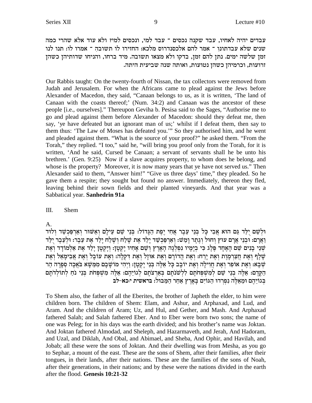עבדים יהיה לאחיו, עבד שקנה נכסים ־ עבד למי, ונכסים למי? ולא עוד אלא שהרי כמה שנים שלא עבדתונו ־ אמר להם אלכסנדרוס מלכא: החזירו לו תשובה ־ אמרו לו: תנו לנו זמן שלשה ימים. נתן להם זמן, בדקו ולא מצאו תשובה. מיד ברחו, והניחו שדותיהן כשהן .<br>זרועות, וכרמיהן כשהן נטועות, ואותה שנה שביעית היתה

Our Rabbis taught: On the twenty-fourth of Nissan, the tax collectors were removed from Judah and Jerusalem. For when the Africans came to plead against the Jews before Alexander of Macedon, they said, "Canaan belongs to us, as it is written, 'The land of Canaan with the coasts thereof;' (Num. 34:2) and Canaan was the ancestor of these people [i.e., ourselves]." Thereupon Geviha b. Pesisa said to the Sages, "Authorise me to go and plead against them before Alexander of Macedon: should they defeat me, then say, 'ye have defeated but an ignorant man of us;' whilst if I defeat them, then say to them thus: 'The Law of Moses has defeated you.'" So they authorised him, and he went and pleaded against them. "What is the source of your proof?" he asked them. "From the Torah," they replied. "I too," said he, "will bring you proof only from the Torah, for it is written, 'And he said, Cursed be Canaan; a servant of servants shall he be unto his brethren.' (Gen. 9:25) Now if a slave acquires property, to whom does he belong, and whose is the property? Moreover, it is now many years that ye have not served us." Then Alexander said to them, "Answer him!" "Give us three days' time," they pleaded. So he gave them a respite; they sought but found no answer. Immediately, thereon they fled, leaving behind their sown fields and their planted vineyards. And that year was a Sabbatical year. **Sanhedrin 91a**

### III. Shem

A.

 $\epsilon$ וּלְשֵׁם יִלֵּד גַּם הוּא אֲבִי כַּל בְּנֵי עֶבֶר אֲחֶי יֶפֶת הַגַּדוֹל: בְּנֵי שֵׁם עֵילַם וְאַשּׁוּר וְאַרִפְּכְשַׁד וְלוּד .<br>וַאֲרַם: וּכְנֵי אֲרַם עוּץ וְחוּל וְגֶתֶר וַמֲשׁ: וְאַרִפַּכִשַּׁד יָלַד אֶת שָׁלַח וְשֶׁלַח יָלַד אֶת עֵבֶר: וּלְעֵבֶר יְלַד שִׁנֵי כָנִים שֵׁם הָאֶחָד פֶּלֶג כִּי בִיָּמְיו נִפִלְגָה הָאָרֶץ וִשֵׁם אָחִיו יָקְטָן: וְיָקְטָן יָלַד אֶת אַלְמודָד וְאֶת שָׁלֵף וְאֵת חַצַרִמָוֶת וְאֵת יָרַח: וְאֵת הַדוֹרָם וְאֵת אוּזָל וְאֵת דִקְלָה: וְאֵת עוֹכָל וְאֵת אֲבִימָאֵל וְאֵת  $\psi$ ָטְּבָא: וְאֶת אוֹפִר וְאֶת חֲוִילַה וְאֶת יוֹבָב כָּל אֵלֶה בְּנֵי יַקְטָן: וַיְהִי מוֹשָׁבַם מִמֶּשָׁא בֹּאֱכָה סְפַרַה הַר הַקֶּדֶם: אֵלֶה בְּנֵי שֵׁם לְמִשְׁפְחֹתָם לִלְשׁנֹתָם בְּאַרְצֹתָם לְגוֹיֵהֶם: אֵלֶה מִשְׁפְּחֹת בְּנֵי נֹחַ לְתוֹלְדֹתָם בגוֹיֵהֵם וּמֵאֵלֶה נִפְרִדוּ הַגּוֹיִם בַּאֲרֶץ אַחֲר הַמֲבוּל: בראשית י:כא−לב

To Shem also, the father of all the Eberites, the brother of Japheth the elder, to him were children born. The children of Shem: Elam, and Ashur, and Arphaxad, and Lud, and Aram. And the children of Aram; Uz, and Hul, and Gether, and Mash. And Arphaxad fathered Salah; and Salah fathered Eber. And to Eber were born two sons; the name of one was Peleg; for in his days was the earth divided; and his brother's name was Joktan. And Joktan fathered Almodad, and Sheleph, and Hazarmaveth, and Jerah, And Hadoram, and Uzal, and Diklah, And Obal, and Abimael, and Sheba, And Ophir, and Havilah, and Jobab; all these were the sons of Joktan. And their dwelling was from Mesha, as you go to Sephar, a mount of the east. These are the sons of Shem, after their families, after their tongues, in their lands, after their nations. These are the families of the sons of Noah, after their generations, in their nations; and by these were the nations divided in the earth after the flood. **Genesis 10:21-32**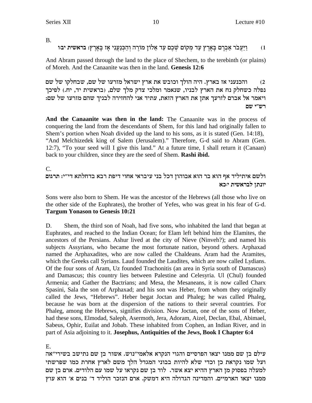$B<sub>1</sub>$ 

וַיַּעֲבֹר אַבְרָם בָאָרֶץ עַד מִקוֹם שָׁכֶם עַד אֵלוֹן מוֹרֵה וְהַכְּנַעֲנִי אַז בָּאָרֶץ: בראשית יבוּו  $(1)$ 

And Abram passed through the land to the place of Shechem, to the terebinth (or plains) of Moreh. And the Canaanite was then in the land. Genesis 12:6

והכנעני אז בארץ. היה הולך וכובש את ארץ ישראל מזרעו של שם, שבחלקו של שם  $(2)$ נפלה כשחלק נח את הארץ לבניו, שנאמר ומלכי צדק מלך שלם, (בראשית יד, יח.) לפיכך ויאמר אל אברם לזרעך אתן את הארץ הזאת, עתיד אני להחזירה לבניך שהם מזרעו של שם: רש״י שם

And the Canaanite was then in the land: The Canaanite was in the process of conquering the land from the descendants of Shem, for this land had originally fallen to Shem's portion when Noah divided up the land to his sons, as it is stated (Gen. 14:18), "And Melchizedek king of Salem (Jerusalem)." Therefore, G-d said to Abram (Gen. 12:7), "To your seed will I give this land." At a future time, I shall return it (Canaan) back to your children, since they are the seed of Shem. Rashi ibid.

 $C_{\cdot}$ 

ולשם איתיליד אף הוא בר הוא אבוהון דכל בני עיבראי אחוי דיפת רבא בדחלתא די"י: תרגום יונתן לבראשית יכא

Sons were also born to Shem. He was the ancestor of the Hebrews (all those who live on the other side of the Euphrates), the brother of Yefes, who was great in his fear of G-d. **Targum Yonason to Genesis 10:21** 

Shem, the third son of Noah, had five sons, who inhabited the land that began at D. Euphrates, and reached to the Indian Ocean; for Elam left behind him the Elamites, the ancestors of the Persians. Ashur lived at the city of Nieve (Ninveh?); and named his subjects Assyrians, who became the most fortunate nation, beyond others. Arphaxad named the Arphaxadites, who are now called the Chaldeans. Aram had the Aramites, which the Greeks call Syrians. Laud founded the Laudites, which are now called Lydians. Of the four sons of Aram, Uz founded Trachonitis (an area in Syria south of Damascus) and Damascus; this country lies between Palestine and Celesyria. Ul (Chul) founded Armenia; and Gather the Bactrians; and Mesa, the Mesaneans, it is now called Charx Spasini, Sala the son of Arphaxad; and his son was Heber, from whom they originally called the Jews, "Hebrews". Heber begat Joctan and Phaleg; he was called Phaleg, because he was born at the dispersion of the nations to their several countries. For Phaleg, among the Hebrews, signifies division. Now Joctan, one of the sons of Heber, had these sons, Elmodad, Saleph, Asermoth, Jera, Adoram, Aizel, Declan, Ebal, Abimael, Sabeus, Ophir, Euilat and Jobab. These inhabited from Cophen, an Indian River, and in part of Asia adjoining to it. Josephus, Antiquities of the Jews, Book I Chapter 6:4

Е.

עילם בן שם ממנו יצאו הפרסיים והגוי הנקרא אלאמי"נוש. אשור בן שם נתישב בשירי"אה ועל שמו נקראת כן וכדי שלא להיות בבוני המגדל הלך משם לארץ אחרת כמו שפרשתי למעלה בפסוק מן הארץ ההיא יצא אשר. לוד בן שם נקראו על שמו עם הלודים. ארם בן שם ממנו יצאו הארמיים. והמדינה הגדולה היא דמשק. ארם הנזכר הוליד ד׳ בנים א׳ הוא עוץ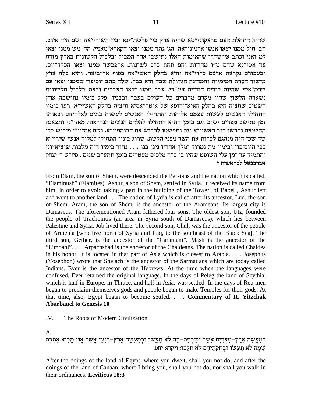שהיה התחלת העם טראקוני"טא שהיה ארץ בין פלשת"ינא ובין השירי"אה ושם היה איוב. הב׳ חול ממנו יצאו אנשי ארמיני״אה. הג׳ גתר ממנו יצאו הקארא״מאניי. הד׳ מש ממנו יצאו למ״ואני וכתב אי״שדרו שהאומות האלו נתישבו אחר המבול ובלבול הלשונות בארץ מזרח עד אטי״נא שהם ט״ו מחוזות והם תחת כ״ב לשונות. ארפכשד ממנו יצאו הכלד״יים. ובעבורם נקראת ארצם כלדי"אה והיא בחלק האשי"אה בסוף אר"ביאה. והיא כלה ארץ מישור חסרת המימיות והמדינה הגדולה שבה היא בבל. שלח כתב יוסיפון שממנו יצאו עם שרמ״אטי שהיום קורים הודיים אינ״די. עבר ממנו יצאו העברים ובעת בלבול הלשונות נשארה הלשון שהיו מקדם מדברים כל העולם בעבר ובבניו. פלג בימיו נתישבה ארץ השטים שחציה היא בחלק האיא"ורופא של איטר"אסיא וחציה בחלק האשיי"א. רעו בימיו התחילו האנשים לעשות עצמם אלוהות והתחילו האנשים לעשות בתים לאלהיהם ובאותו זמן נתישב מצרים ישוב וגם בזמן ההוא התחילו להלחם הנשים הנקראות מאזו״ני ותצאנה מהשטים וכבשו רוב האשיי״א וגם נתפשטו לכבוש את הבוהמיי״א. ושם אמזונ״י פירוש בלי שר שכן היה מנהגם לכרות את השד מפני הקשת. שרוג ביניו התחילו למלוך אנשי שיריי"א כפי היוסיפון ובימיו מת נמרוד ומלך אחריו נינו בנו . . . נחור בימיו היה מלכות שיציא"וני והתמיד עד זמן עלי השופט שהיו בו כ״ה מלכים מעטרים בזמן תתע״ב שנים . פיורש ר׳ יצחק אברבנאל לבראשית י

From Elam, the son of Shem, were descended the Persians and the nation which is called, "Elaminush" (Elamites). Ashur, a son of Shem, settled in Syria. It received its name from him. In order to avoid taking a part in the building of the Tower [of Babel], Ashur left and went to another land . . . The nation of Lydia is called after its ancestor, Lud, the son of Shem. Aram, the son of Shem, is the ancestor of the Arameans. Its largest city is Damascus. The aforementioned Aram fathered four sons. The oldest son, Utz, founded the people of Trachonitis (an area in Syria south of Damascus), which lies between Palestine and Syria. Job lived there. The second son, Chul, was the ancestor of the people of Armenia [who live north of Syria and Iraq, to the southeast of the Black Sea]. The third son, Gether, is the ancestor of the "Caramani". Mash is the ancestor of the "Limoani".... Arpachshad is the ancestor of the Chaldeans. The nation is called Chaldea in his honor. It is located in that part of Asia which is closest to Arabia.... Josephus (Yosephon) wrote that Shelach is the ancestor of the Sarmatians which are today called Indians. Ever is the ancestor of the Hebrews. At the time when the languages were confused, Ever retained the original language. In the days of Peleg the land of Scythia, which is half in Europe, in Thrace, and half in Asia, was settled. In the days of Reu men began to proclaim themselves gods and people began to make Temples for their gods. At that time, also, Egypt began to become settled.  $\ldots$  Commentary of R. Yitzchak **Abarbanel to Genesis 10** 

#### IV. The Roots of Modern Civilization

 $A<sub>1</sub>$ 

## כִּמַעֲשֶׂה אֱרֶץ–מִצְרַיִם אֲשֶׁר יִשַּׁבְתֶּם–בָּהּ לֹא תַעֲשׂוּ וּכִמַעֲשֶׂה אֶרֶץ–כִּנַעַן אֲשֶׁר אֲנִי מֵבִיא אֶתְכֶם שָׁמָּה לֹא תַעֲשׂוּ וּבְחֻקֹתֵיהֶם לֹא תֵלֵכוּ: ויקרא יחוג

After the doings of the land of Egypt, where you dwelt, shall you not do; and after the doings of the land of Canaan, where I bring you, shall you not do; nor shall you walk in their ordinances. Leviticus 18:3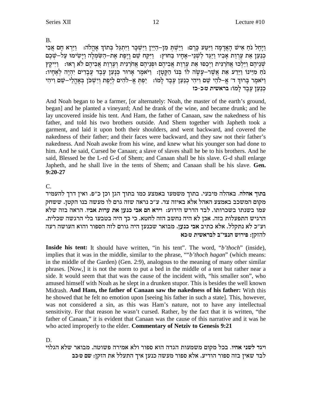$B<sub>1</sub>$ 

וַיָּחֵל נֹחַ אִישׁ הָאֲדָמָה וַיִּטַע כַּרֵם: וַיֵּשְׁתָּ מִן–הַיַּיִן וַיִּשְׁכָּר וַיִּתְגַּל בְּתוֹךְ אָהֲלֹה: וַיַּרְא חָם אֲבִי כְנַעַן אֶת עֶרְוַת אַבְיו וַיַּגֵּד לְשָׁנֵי–אָחָיו בַּחוּץ: [יִקַּח שֵׁם וַיֵּפֶת אֶת–הַשָּׂמְלָה וַיַּשִׂימוּ עַל–שֶׁבֶם שִׁנֵיהֶם וַיֵּלְכוּ אֲחֹרַנִּית וַיִּכְסוּ אֶת עֲרְוַת אֲבִיהֶם וּפְנֵיהֶם אֲחֹרַנִּית וְעֵרְוַת אֲבִיהֶם לֹא רָאוּ: וַיִּיקֵץ .<br>נחַ מִיִּינוֹ וַיֵּדַע אֵת אֲשֵׁר–עָשָׂה לוֹ בִּנוֹ הַקָּטְן: וַיֹּאמֶר אָרוּר כְּנָעַן עֶבֶד עֲבָדִים יִהְיֶה לְאֶחָיו: וַיֹּאמֶר בְּרוּךְ ד׳ אֱ–לֹהֵי שֵׁם וִיהִי כְנַעַן עֶבֶד לָמוֹ: יַפְתְּ אֶ–לֹהִים לְיֶפֶת וְיִשְׁכֹן בְּאָהֲלֵי–שֵׁם וִיהִי כנען עבד למו: בראשית ט:כ-כז

And Noah began to be a farmer, [or alternately: Noah, the master of the earth's ground, began] and he planted a vineyard; And he drank of the wine, and became drunk; and he lay uncovered inside his tent. And Ham, the father of Canaan, saw the nakedness of his father, and told his two brothers outside. And Shem together with Japheth took a garment, and laid it upon both their shoulders, and went backward, and covered the nakedness of their father; and their faces were backward, and they saw not their father's nakedness. And Noah awoke from his wine, and knew what his younger son had done to him. And he said, Cursed be Canaan; a slave of slaves shall he be to his brothers. And he said, Blessed be the L-rd G-d of Shem; and Canaan shall be his slave. G-d shall enlarge Japheth, and he shall live in the tents of Shem; and Canaan shall be his slave. Gen.  $9:20-27$ 

## $C_{\cdot}$

בתוך אהלה. באהלה מיבעי. בתוך משמעו באמצע כמו בתוך הגן וכן כ"פ. ואין דרך להעמיד מקום המשכב באמצע האהל אלא באיזה צד. ע"כ נראה שזה גרם לו מעשה בנו הקטן. ששחק עמו בשנתו בשכרותו. לבד הדרש הידוע: וירא חם אבי כנען את ערות אביו. הראה בזה שלא הרגיש התפעלות בזה. אכן לא היה נחשב הזה לחטא. כי כך היה בטבעו בלי הרגשה שכלית. וע״כ לא נתקלל. אלא כתיב אבי כנען. מבואר שכנען היה גורם לזה הספור והוא העושה רעה להזקז: פירוש הנצי״ב לבראשית טוכא

Inside his tent: It should have written, "in his tent". The word, "b'thoch" (inside), implies that it was in the middle, similar to the phrase, ""b'thoch hagan" (which means: in the middle of the Garden) (Gen. 2:9), analogous to the meaning of many other similar phrases. [Now,] it is not the norm to put a bed in the middle of a tent but rather near a side. It would seem that that was the cause of the incident with, "his smaller son", who amused himself with Noah as he slept in a drunken stupor. This is besides the well known Midrash. And Ham, the father of Canaan saw the nakedness of his father: With this he showed that he felt no emotion upon [seeing his father in such a state]. This, however, was not considered a sin, as this was Ham's nature, not to have any intellectual sensitivity. For that reason he wasn't cursed. Rather, by the fact that it is written, "the father of Canaan," it is evident that Canaan was the cause of this narrative and it was he who acted improperly to the elder. Commentary of Netziv to Genesis 9:21

D.

ויגד לשני אחיו. בכל מקום משמעות הגדה הוא ספור ולא אמירה פשוטה. מבואר שלא הגלוי לבד שאין בזה ספור הודיע. אלא ספור מעשה כנען איך התעלל את הזקן: שם ט:כב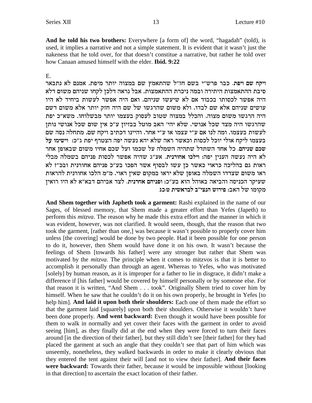And he told his two brothers: Everywhere [a form of] the word, "hagadah" (told), is used, it implies a narrative and not a simple statement. It is evident that it wasn't just the nakeness that he told over, for that doesn't constitue a narrative, but rather he told over how Canaan amused himself with the elder. **Ibid. 9:22** 

### E.

ויקח שם ויפת. כבר פרש"י בשם חז"ל שהתאמץ שם במצוה יותר מיפת. אמנם לא נתבאר סיבת ההתאמצות היתירה ובמה ניכרת ההתאמצות. אבל נראה דלכן לקחו שניהם משום דלא היה אפשר לכסותו בכבוד אם לא שיעשו שניהם. ואם היה אפשר לעשות ביחיד לא היו עושים שניהם אלא שם לבדו. ולא משום שהרגשו של שם היה חזק יותר אלא משום דשם היה הרגשו משום מצוה. והכלל במצוה שטוב לעסוק בעצמו יותר מבשלוחו. משא״כ יפת שהרגשו היה מצד שכל אנושי. שלא יהי' האב מוטל בבזיון ע"כ אין שום שכל אנושי נותן ,<br>לעשות בעצמו. ומה לנו אם ע״י עצמו או ע״י אחר. והיינו דכתיב ויקח שם. מתחלה נסה שם בעצמו ליקח אולי יוכל לכסות וכאשר ראה שלא יהא נעשה יפה הצטרף יפת ג"כ: וישימו על שכם שניהם. כל אחד השתדל שתהיה השמלה על שכמו ועל שכם אחיו משום שבאופן אחר לא היה נעשה הענין יפה: וילכו אחורנית. אע"ג שהיה אפשר לכסות פניהם בשמלה מבלי ראות גם בהליכה כראוי כאשר כן עשו לבסוף אשר הפכו בע״כ פניהם אחורנית ובכ״ז לא ראו משום שצדדו השמלה באופן שלא יראו במקום שאין ראוי. מ"מ הלכו אחורנית להראות שעיקר הכניסה והביאה באוהל הוא בע"כ: ופניהם אחרנית. לצד אביהם דבא"א לא היו רואין מקומו של האב: פירוש הנצי״ב לבראשית טוכג

And Shem together with Japheth took a garment: Rashi explained in the name of our Sages, of blessed memory, that Shem made a greater effort than Yefes (Japeth) to perform this *mitzva*. The reason why he made this extra effort and the manner in which it was evident, however, was not clarified. It would seem, though, that the reason that two took the garment, [rather than one,] was because it wasn't possible to properly cover him unless [the covering] would be done by two people. Had it been possible for one person to do it, however, then Shem would have done it on his own. It wasn't because the feelings of Shem [towards his father] were any stronger but rather that Shem was motivated by the *mitzva*. The principle when it comes to mitzvos is that it is better to accomplish it personally than through an agent. Whereas to Yefes, who was motivated [solely] by human reason, as it is improper for a father to lie in disgrace, it didn't make a difference if [his father] would be covered by himself personally or by someone else. For that reason it is written, "And Shem . . . took". Originally Shem tried to cover him by himself. When he saw that he couldn't do it on his own properly, he brought in Yefes [to help him]. And laid it upon both their shoulders: Each one of them made the effort so that the garment laid [squarely] upon both their shoulders. Otherwise it wouldn't have been done properly. And went backward: Even though it would have been possible for them to walk in normally and yet cover their faces with the garment in order to avoid seeing [him], as they finally did at the end when they were forced to turn their faces around [in the direction of their father], but they still didn't see [their father] for they had placed the garment at such an angle that they couldn't see that part of him which was unseemly, nonetheless, they walked backwards in order to make it clearly obvious that they entered the tent against their will [and not to view their father]. And their faces were backward: Towards their father, because it would be impossible without [looking] in that direction] to ascertain the exact location of their father.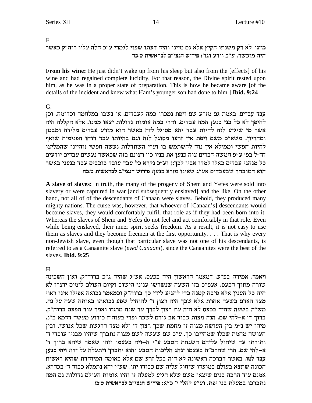### $F_{\perp}$

מיינו. לא רק משנתו הקיץ אלא גם מיינו והיה דעתו שפוי לגמרי ע״כ חלה עליו רוה״ק כאשר היה מוכשר. ע״כ וידע וגו׳: פירוש הנצי״ב לבראשית ט:כד

From his wine: He just didn't wake up from his sleep but also from the [effects] of his wine and had regained complete lucidity. For that reason, the Divine spirit rested upon him, as he was in a proper state of preparation. This is how he became aware [of the details of the incident and knew what Ham's younger son had done to him.] Ibid. 9:24

### $G<sub>r</sub>$

עבד עבדים. באמת גם מזרע שם ויפת נמכרו כמה לעבדים. או נשבו במלחמה וכדומה. וכן להיפך לא כל בני כנען המה עבדים. והרי כמה אומות גדולות יצאו ממנו. אלא הקללה היה אשר מי שיגיע לזה להיות עבד יהא מסוגל לזה כאשר הוא מזרע עבדים מלידה ומבטן ומהריון. משא"כ משם ויפת אין זרעו מסוגל לזה וגם בהיותו עבד רוחו הפנימית שואף להיות חפשי וממילא אין נוח להשתמש בו וע"י השתדלות נעשה חפשי (והיינו שהמליצו חז"ל בפ' ע"פ חמשה דברים צוה כנען את בניו כו' רצונם בזה שכאשר נעשים עבדים יודעים כל מנהגי עבדים כאלו למדו אביו לכך:) וע״כ נקרא כל עבד עובד כוכבים עבד כנעני באשר הוא המובחר שבעבדים אע"ג שאינו מזרע כנען: פירוש הנצי"ב לבראשית טוכה

A slave of slaves: In truth, the many of the progeny of Shem and Yefes were sold into slavery or were captured in war [and subsequently enslaved] and the like. On the other hand, not all of of the descendants of Canaan were slaves. Behold, they produced many mighty nations. The curse was, however, that whoever of [Canaan's] descendants would become slaves, they would comfortably fulfill that role as if they had been born into it. Whereas the slaves of Shem and Yefes do not feel and act comfortably in that role. Even while being enslaved, their inner spirit seeks freedom. As a result, it is not easy to use them as slaves and they become freemen at the first opportunity.... That is why every non-Jewish slave, even though that particular slave was not one of his descendants, is referred to as a Canaanite slave (eved Canaani), since the Canaanites were the best of the slaves. Ibid. 9:25

### $H_{\cdot}$

ויאמר. אמירה בפ"ע. דמאמר הראשון היה בכעס. אע"ג שהיה ג"כ ברוה"ק. ואין השכינה שורה מתוך הכעס. אעפ״כ בזו השעה שנשרשו עניני הישוב וקיום העולם לימים יוצרו לא היה כל הענין אלא סיבה קטנה כדי להגיע לידי כך ברוה"ק וכמאמר נבואה אפילו אינו ראוי מצד האדם בשעה אחרת אלא שכך היה רצון ד' להוחיל שפע נבואתו באותה שעה על נח. מש״ה בשעה שהיה בכעס לא היה עת רצון לברך עד שנח מרגזו ואמר עוד הפעם ברוה״ק. ברוך ד' א–להי שם. הנה מצות כבוד אב גורם לשכר ופרי בעוה"ז כידוע מעשה דדמא ב"נ. מיהו יש נ"מ בין העושה מצוה זו מחמת שכך רצון ד' ולא מצד הרגשת שכל אנושי. ובין העושה מחמת שכלו שמחייבו כך. ע"כ שם שעשה לשם מצוה נתברך שיהיו מבניו עובדי ד' ותורתו עד שיחול עליהם השגחת הטבע ע"י ה–ויה בעצמו וזהו שאמר שיהא ברוך ד' א–להי שם. הרי שהקב"ה בעצמו ינהג הליכות הטבע והוא יתברך ויתעלה על ידו: ויהי כנען עבד למו. באשר דברכה ראשונה לא היה בכל זרע שם אלא באומה המיוחדת שהיא ראשית הכונה שתצא בעולם במועדו שיחול עליה שם כבודו ית׳. שע״י יהא נתמלא כבוד ד׳ בכה״א. אמנם עוד הרבה בנים שיצאו משם שלא הגיע למעלה זו והיו אומות העולם גדולות גם המה נתברכו במעלת בני יפת. וע"ע להלן י' כ"א: פירוש הנצי"ב לבראשית ט:כו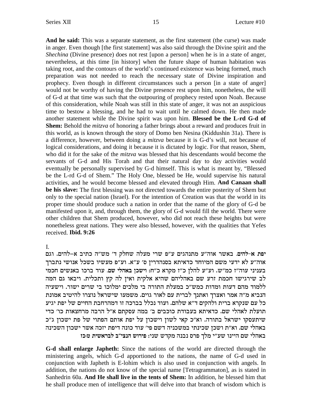**And he said:** This was a separate statement, as the first statement (the curse) was made in anger. Even though [the first statement] was also said through the Divine spirit and the *Shechina* (Divine presence) does not rest [upon a person] when he is in a state of anger, nevertheless, at this time [in history] when the future shape of human habitation was taking root, and the contours of the world's continued existence was being formed, much preparation was not needed to reach the necessary state of Divine inspiration and prophecy. Even though in different circumstances such a person [in a state of anger] would not be worthy of having the Divine presence rest upon him, nonetheless, the will of G-d at that time was such that the outpouring of prophecy rested upon Noah. Because of this consideration, while Noah was still in this state of anger, it was not an auspicious time to bestow a blessing, and he had to wait until he calmed down. He then made another statement while the Divine spirit was upon him. **Blessed be the L-rd G-d of Shem:** Behold the *mitzva* of honoring a father brings about a reward and produces fruit in this world, as is known through the story of Domo ben Nesina (Kiddushin 31a). There is a difference, however, between doing a *mitzva* because it is G-d's will, not because of logical considerations, and doing it because it is dictated by logic. For that reason, Shem, who did it for the sake of the *mitzva* was blessed that his descendants would become the servants of G-d and His Torah and that their natural day to day activities would eventually be personally supervised by G-d himself. This is what is meant by, "Blessed be the L-rd G-d of Shem." The Holy One, blessed be He, would supervise his natural activities, and he would become blessed and elevated through Him. **And Canaan shall be his slave:** The first blessing was not directed towards the entire posterity of Shem but only to the special nation (Israel). For the intention of Creation was that the world in its proper time should produce such a nation in order that the name of the glory of G-d be manifested upon it, and, through them, the glory of G-d would fill the world. There were other children that Shem produced, however, who did not reach these heights but were nonetheless great nations. They were also blessed, however, with the qualities that Yefes received. **Ibid. 9:26**

I.

יפת א-להים. באשר אוה"ע מתנהגים ע"פ שרי מעלה שחלק ד' מש"ה כתיב א-להים. וגם אוה״ע לא ידעי משם המיוחד כדאיתא בסנהדרין ס׳ ע״א. וע״פ מעשיו בשכל אנושי נתברך בעניני עוה"ז כמ"ש. וע"ע להלן כ"ז מקרא כ"ח: וישכן באהלי שם. עוד ברכו באנשים חכמי לב שירגישו חכמת זרע שם באהליהם שהיא אלקית ואין לה קץ ותכלית. ויבאו גם המה ללמוד מהם דעות ומדות כמש"כ במעלת התורה בי מלכים ימלוכו בי שרים ישור. וישעיה הנביא מ״ה אמר ואצרך ואתנך לברית עם לאור גוים. משמעו שישראל נוצרו להיטיב אמונת כל עם שנקרא ברית ולהקים ד"א שלהם. ועוד נכלל בברכה זו דמהרחבת החיים של יפת יגיע תועלת לאהלי שם. כדאיתא בעבודת כוכבים ב׳ במה עסקתם א״ל הרבה מרחצאות כו׳ כדי שיתעסקו ישראל בתורה. וא"כ קאי לשון וישכון על יפת אותם הפתוי של פת ישכון ג"כ באהלי שם. וא״ת ושכן שכינתי במשכניה דשם פי׳ עוד כונה דיפת יזכה אשר ישכון השכינה **ו באהלי שם היינו שע״י מלך פרס נבנה מקדש שני: פירוש הנצי״ב לבראשית ט:כז** 

**G-d shall enlarge Japheth:** Since the nations of the world are directed through the ministering angels, which G-d apportioned to the nations, the name of G-d used in conjunction with Japheth is E-lohim which is also used in conjunction with angels. In addition, the nations do not know of the special name [Tetragrammaton], as is stated in Sanhedrin 60a. **And He shall live in the tents of Shem:** In addition, he blessed him that he shall produce men of intelligence that will delve into that branch of wisdom which is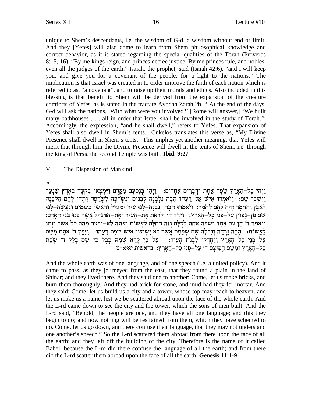unique to Shem's descendants, i.e. the wisdom of G-d, a wisdom without end or limit. And they [Yefes] will also come to learn from Shem philosophical knowledge and correct behavior, as it is stated regarding the special qualities of the Torah (Proverbs 8:15, 16), "By me kings reign, and princes decree justice. By me princes rule, and nobles, even all the judges of the earth." Isaiah, the prophet, said (Isaiah 42:6), "and I will keep you, and give you for a covenant of the people, for a light to the nations." The implication is that Israel was created in to order improve the faith of each nation which is referred to as, "a covenant", and to raise up their morals and ethics. Also included in this blessing is that benefit to Shem will be derived from the expansion of the creature comforts of Yefes, as is stated in the tractate Avodah Zarah 2b, "[At the end of the days, G-d will ask the nations, 'With what were you involved?' [Rome will answer,] 'We built many bathhouses . . . all in order that Israel shall be involved in the study of Torah." Accordingly, the expression, "and he shall dwell," refers to Yefes. That expansion of Yefes shall also dwell in Shem's tents. Onkelos translates this verse as, "My Divine Presence shall dwell in Shem's tents." This implies yet another meaning, that Yefes will merit that through him the Divine Presence will dwell in the tents of Shem, i.e. through the king of Persia the second Temple was built. **Ibid. 9:27**

V. The Dispersion of Mankind

### A.

וַיְהִי כַל–הַאֲרֶץ שֵׂפַּה אֲחַת וּדִבְרִים אֲחָדים: ⊥וַיְהִי בִּנַסְעָם מִקֶּדֶם וַיִּמְצַאוּ בִקְעַה בִּאֶרֶץ שִׁנַעַר וַיֵּשׁבוּ שַׁם: וַיֹּאמִרוּ אִישׁ אֵל-רֵעֵהוּ הָבָה נִלְבִּנָה לְבֵנִים וִנִשְׂרִפְה לְשְׂרֵפָה וַתְּהִי לָהֶם הַלְבֵנָה לאָבֶן והַחֲמַר הַיָּה לַהֶם לַחֹמֶר: וַיֹּאמִרוּ הַבָה | נִבְנֶה−לַנוּ עִיר וּמְגדֵל וַרֹאשׁוֹ בַשֶּׁמַיִם וְנַעֲשֶׂה−לַנוּ :שם פן–נפוּץ על–פּני כל–הארץ: וירד ד׳ לראת את–העיר ואת–המגדל אשר בּנוּ בּני האדם וַיֹּאמֵר ד׳ הֶן עַם אֲחֵד וְשֵׂפָה אֲחַת לְכִלֵּם וְזֵה הַחִלַּם לַעֲשׂוֹת וְעַתֲּה לֹא–יִבַּצֶר מֵהֵם כֹּל אֲשֶׁר יַזִמוּ לַעֲשׂוֹת: הַבָה נֵרְדָה וְנַבְלָה שָׁם שְפַתַּם אֲשֶׁר לֹא יִשְׁמְעוּ אִישׁ שִפָּת רֵעֲהוּ: וַיַּפֵּץ ד׳ אֹתַם מִשֶּׁם  $z$ עַל–פּנֵי כַל–הָאַרֶץ וַיַּחִדְּלוּ לְבִנת הַעִיר: עַל–כֶּן קַרָא שִׁמַה בַּבֵל כִּי–שָׁם בַּלַל ד׳ שִפַּת כל–הארץ ומשם הפיצם ד׳ על–פני כל–הארץ: בראשית יא:א-ט

And the whole earth was of one language, and of one speech (i.e. a united policy). And it came to pass, as they journeyed from the east, that they found a plain in the land of Shinar; and they lived there. And they said one to another: Come, let us make bricks, and burn them thoroughly. And they had brick for stone, and mud had they for mortar. And they said: Come, let us build us a city and a tower, whose top may reach to heaven; and let us make us a name, lest we be scattered abroad upon the face of the whole earth. And the L-rd came down to see the city and the tower, which the sons of men built. And the L-rd said, "Behold, the people are one, and they have all one language; and this they begin to do; and now nothing will be restrained from them, which they have schemed to do. Come, let us go down, and there confuse their language, that they may not understand one another's speech." So the L-rd scattered them abroad from there upon the face of all the earth; and they left off the building of the city. Therefore is the name of it called Babel; because the L-rd did there confuse the language of all the earth; and from there did the L-rd scatter them abroad upon the face of all the earth. **Genesis 11:1-9**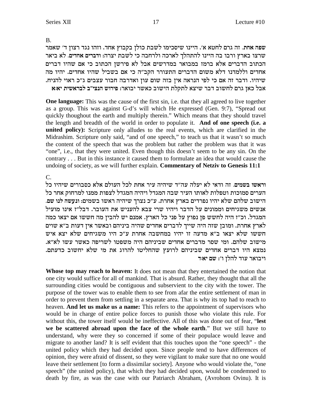B.

שפה אחת. זה גרם לחטא א׳. היינו שיסכימו לשבת כולן בקבוץ אחד. וזהו נגד רצון ד׳ שאמר x`ia `l **.micg` mixace** :dxvi zayl ik dagxle dkx`l jldzdl epiid da eaxe ux`a evxy הכתוב הדברים אלא ברמז במבואר במדרשים אבל לא פירשן הכתוב כי אם שהיו דברים אחדים וללמדנו דלא משום הדברים התעורר הקב"ה כי אם בשביל שהיו אחדים. יהיו מה שיהיו. ודבר זה אם כי לפי הנראה אין בזה שום עון ואדרבה חבור עצבים ג״כ ראוי להניח. **`:`i ziy`xal a"ivpd yexit** :x`eai xy`k aeyid zlwzl `viy xac aeygl mxb o`k la`

**One language:** This was the cause of the first sin, i.e. that they all agreed to live together as a group. This was against G-d's will which He expressed (Gen. 9:7), "Spread out quickly thoughout the earth and multiply therein." Which means that they should travel the length and breadth of the world in order to populate it. **And of one speech (i.e. a united policy):** Scripture only alludes to the real events, which are clarified in the Midrashim. Scripture only said, "and of one speech," to teach us that it wasn't so much the content of the speech that was the problem but rather the problem was that it was "one", i.e., that they were united. Even though this doesn't seem to be any sin. On the contrary . . . But in this instance it caused them to formulate an idea that would cause the undoing of society, as we will further explain. **Commentary of Netziv to Genesis 11:1**

 $C_{\cdot}$ 

lk eidiy mixeaqk `l` mlerd lkl zg` xir didiy c"dr dlri `l i`ce df **.minya ey`xe** הערים סמוכות וטפלות לאותו העיר שבה המגדל ויהיה המגדל לצפות ממנו למרחוק אחר כל .<br>הישוב שלהם שלא יהיו נפרדים בארץ אחרת. ע״כ נצרך שיהיה ראשו בשמים: ונעשה לנו שם ועשים משגיחים וממונים על הדבר ויהיו שרי צבא להעניש את העובר. דבל"ז אינו מועיל המגדל. וכ״ז היה לחשש פן נפוץ על פני כל הארץ. אמנם יש להבין מה חששו אם יצאו כמה לארץ אחרת. ומובן שזה היה שייך לדברים אחדים שהיה ביניהם ובאשר אין דעות ב"א שוים חששו שלא יצאו ב"א מדעה זו יהיו במחשבה אחרת ע"כ היו משגיחים שלא יצא איש .מישוב שלהם. ומי שסר מדברים אחדים שביניהם היה משפטו לשריפה כאשר עשו לא"א. .<br>נמצא היו דברים אחדים שביניהם לרועץ שהחליטו להרוג את מי שלא יחשוב כדעתם **ויבואר עוד להלן ו': שם יא**ד

**Whose top may reach to heaven:** It does not mean that they entertained the notion that one city would suffice for all of mankind. That is absurd. Rather, they thought that all the surrounding cities would be contiguous and subservient to the city with the tower. The purpose of the tower was to enable them to see from afar the entire settlement of man in order to prevent them from settling in a separate area. That is why its top had to reach to heaven. **And let us make us a name:** This refers to the appointment of supervisors who would be in charge of entire police forces to punish those who violate this rule. For without this, the tower itself would be ineffective. All of this was done out of fear, "**lest we be scattered abroad upon the face of the whole earth**." But we still have to understand, why were they so concerned if some of their populace would leave and migrate to another land? It is self evident that this touches upon the "one speech" - the united policy which they had decided upon. Since people tend to have differences of opinion, they were afraid of dissent, so they were vigilant to make sure that no one would leave their settlement [to form a dissimilar society]. Anyone who would violate the, "one speech" (the united policy), that which they had decided upon, would be condemned to death by fire, as was the case with our Patriarch Abraham, (Avrohom Ovinu). It is